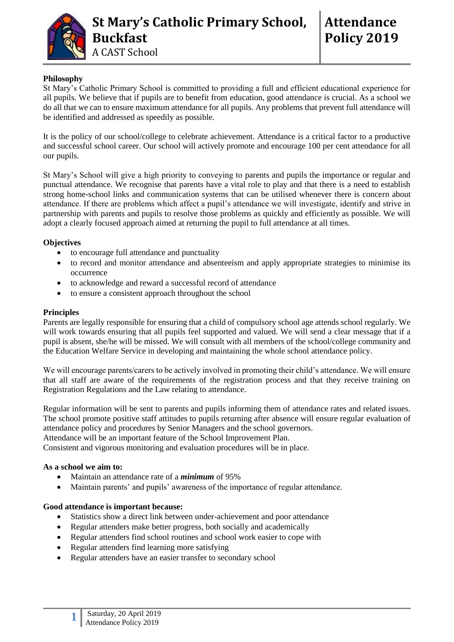

# **Philosophy**

St Mary's Catholic Primary School is committed to providing a full and efficient educational experience for all pupils. We believe that if pupils are to benefit from education, good attendance is crucial. As a school we do all that we can to ensure maximum attendance for all pupils. Any problems that prevent full attendance will be identified and addressed as speedily as possible.

It is the policy of our school/college to celebrate achievement. Attendance is a critical factor to a productive and successful school career. Our school will actively promote and encourage 100 per cent attendance for all our pupils.

St Mary's School will give a high priority to conveying to parents and pupils the importance or regular and punctual attendance. We recognise that parents have a vital role to play and that there is a need to establish strong home-school links and communication systems that can be utilised whenever there is concern about attendance. If there are problems which affect a pupil's attendance we will investigate, identify and strive in partnership with parents and pupils to resolve those problems as quickly and efficiently as possible. We will adopt a clearly focused approach aimed at returning the pupil to full attendance at all times.

# **Objectives**

- to encourage full attendance and punctuality
- to record and monitor attendance and absenteeism and apply appropriate strategies to minimise its occurrence
- to acknowledge and reward a successful record of attendance
- to ensure a consistent approach throughout the school

# **Principles**

Parents are legally responsible for ensuring that a child of compulsory school age attends school regularly. We will work towards ensuring that all pupils feel supported and valued. We will send a clear message that if a pupil is absent, she/he will be missed. We will consult with all members of the school/college community and the Education Welfare Service in developing and maintaining the whole school attendance policy.

We will encourage parents/carers to be actively involved in promoting their child's attendance. We will ensure that all staff are aware of the requirements of the registration process and that they receive training on Registration Regulations and the Law relating to attendance.

Regular information will be sent to parents and pupils informing them of attendance rates and related issues. The school promote positive staff attitudes to pupils returning after absence will ensure regular evaluation of attendance policy and procedures by Senior Managers and the school governors. Attendance will be an important feature of the School Improvement Plan.

Consistent and vigorous monitoring and evaluation procedures will be in place.

# **As a school we aim to:**

**1**

- Maintain an attendance rate of a *minimum* of 95%
- Maintain parents' and pupils' awareness of the importance of regular attendance.

# **Good attendance is important because:**

- Statistics show a direct link between under-achievement and poor attendance
- Regular attenders make better progress, both socially and academically
- Regular attenders find school routines and school work easier to cope with
- Regular attenders find learning more satisfying
- Regular attenders have an easier transfer to secondary school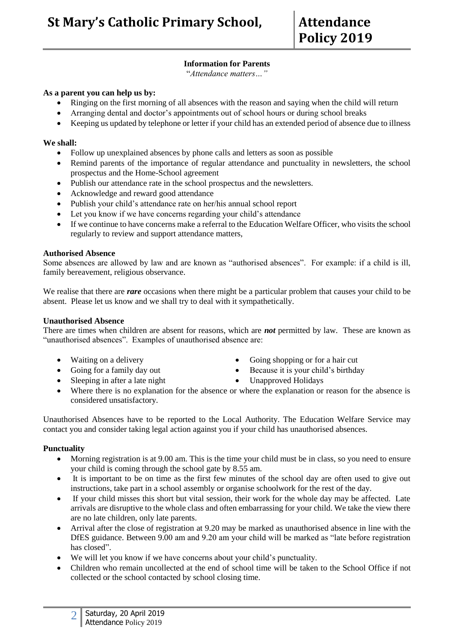# **Information for Parents**

"*Attendance matters…"*

#### **As a parent you can help us by:**

- Ringing on the first morning of all absences with the reason and saying when the child will return
- Arranging dental and doctor's appointments out of school hours or during school breaks
- Keeping us updated by telephone or letter if your child has an extended period of absence due to illness

# **We shall:**

- Follow up unexplained absences by phone calls and letters as soon as possible
- Remind parents of the importance of regular attendance and punctuality in newsletters, the school prospectus and the Home-School agreement
- Publish our attendance rate in the school prospectus and the newsletters.
- Acknowledge and reward good attendance
- Publish your child's attendance rate on her/his annual school report
- Let you know if we have concerns regarding your child's attendance
- If we continue to have concerns make a referral to the Education Welfare Officer, who visits the school regularly to review and support attendance matters,

#### **Authorised Absence**

Some absences are allowed by law and are known as "authorised absences". For example: if a child is ill, family bereavement, religious observance.

We realise that there are *rare* occasions when there might be a particular problem that causes your child to be absent. Please let us know and we shall try to deal with it sympathetically.

#### **Unauthorised Absence**

There are times when children are absent for reasons, which are *not* permitted by law. These are known as "unauthorised absences". Examples of unauthorised absence are:

- 
- 
- Sleeping in after a late night Unapproved Holidays
- Waiting on a delivery **Community Going shopping or for a hair cut**
- Going for a family day out **Because it is your child's birthday** 
	-
- Where there is no explanation for the absence or where the explanation or reason for the absence is considered unsatisfactory.

Unauthorised Absences have to be reported to the Local Authority. The Education Welfare Service may contact you and consider taking legal action against you if your child has unauthorised absences.

# **Punctuality**

- Morning registration is at 9.00 am. This is the time your child must be in class, so you need to ensure your child is coming through the school gate by 8.55 am.
- It is important to be on time as the first few minutes of the school day are often used to give out instructions, take part in a school assembly or organise schoolwork for the rest of the day.
- If your child misses this short but vital session, their work for the whole day may be affected. Late arrivals are disruptive to the whole class and often embarrassing for your child. We take the view there are no late children, only late parents.
- Arrival after the close of registration at 9.20 may be marked as unauthorised absence in line with the DfES guidance. Between 9.00 am and 9.20 am your child will be marked as "late before registration has closed".
- We will let you know if we have concerns about your child's punctuality.
- Children who remain uncollected at the end of school time will be taken to the School Office if not collected or the school contacted by school closing time.